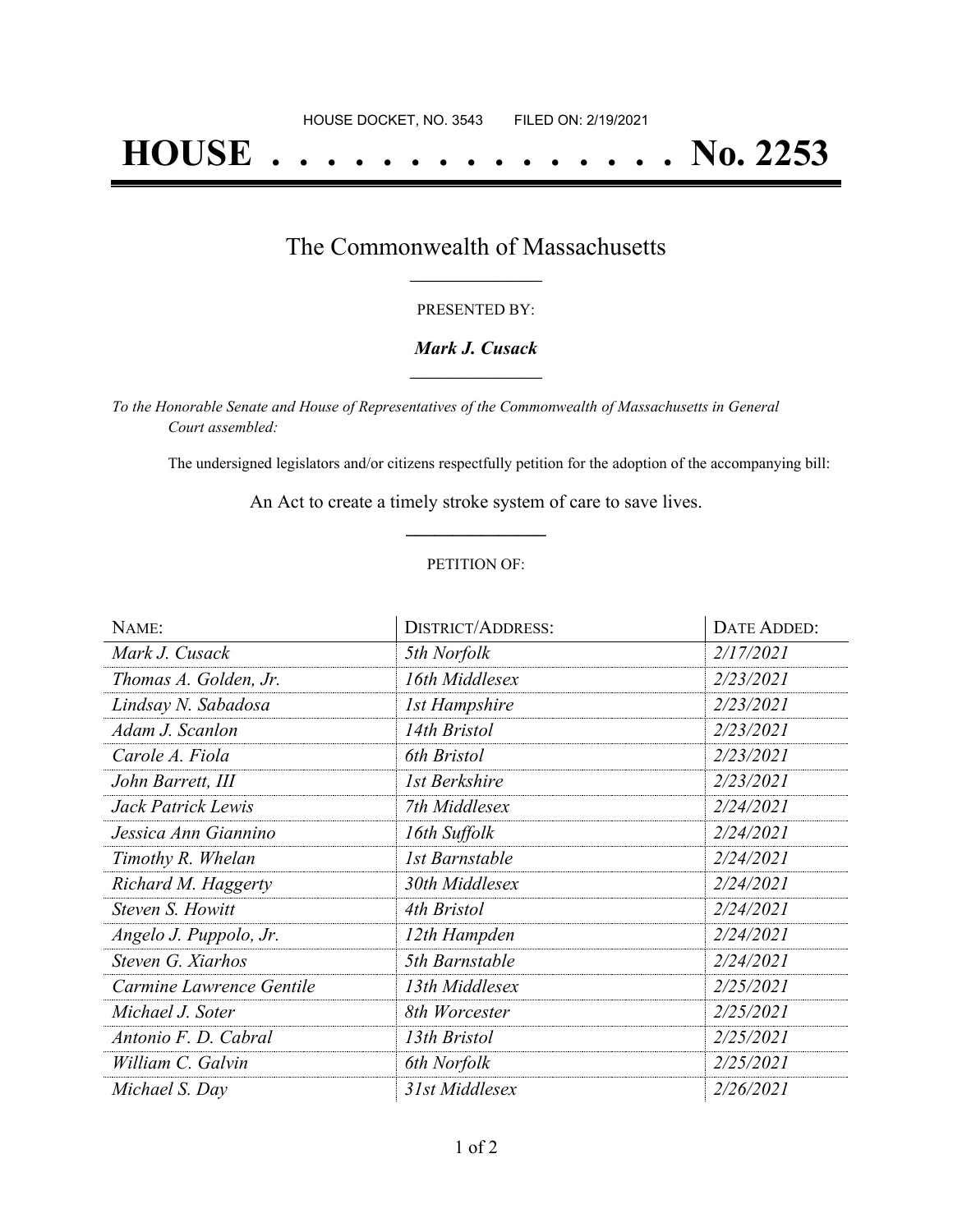# **HOUSE . . . . . . . . . . . . . . . No. 2253**

### The Commonwealth of Massachusetts **\_\_\_\_\_\_\_\_\_\_\_\_\_\_\_\_\_**

#### PRESENTED BY:

#### *Mark J. Cusack* **\_\_\_\_\_\_\_\_\_\_\_\_\_\_\_\_\_**

*To the Honorable Senate and House of Representatives of the Commonwealth of Massachusetts in General Court assembled:*

The undersigned legislators and/or citizens respectfully petition for the adoption of the accompanying bill:

An Act to create a timely stroke system of care to save lives. **\_\_\_\_\_\_\_\_\_\_\_\_\_\_\_**

#### PETITION OF:

| NAME:                    | <b>DISTRICT/ADDRESS:</b> | DATE ADDED: |
|--------------------------|--------------------------|-------------|
| Mark J. Cusack           | 5th Norfolk              | 2/17/2021   |
| Thomas A. Golden, Jr.    | 16th Middlesex           | 2/23/2021   |
| Lindsay N. Sabadosa      | 1st Hampshire            | 2/23/2021   |
| Adam J. Scanlon          | 14th Bristol             | 2/23/2021   |
| Carole A. Fiola          | 6th Bristol              | 2/23/2021   |
| John Barrett, III        | 1st Berkshire            | 2/23/2021   |
| Jack Patrick Lewis       | 7th Middlesex            | 2/24/2021   |
| Jessica Ann Giannino     | 16th Suffolk             | 2/24/2021   |
| Timothy R. Whelan        | 1st Barnstable           | 2/24/2021   |
| Richard M. Haggerty      | 30th Middlesex           | 2/24/2021   |
| Steven S. Howitt         | 4th Bristol              | 2/24/2021   |
| Angelo J. Puppolo, Jr.   | 12th Hampden             | 2/24/2021   |
| Steven G. Xiarhos        | 5th Barnstable           | 2/24/2021   |
| Carmine Lawrence Gentile | 13th Middlesex           | 2/25/2021   |
| Michael J. Soter         | 8th Worcester            | 2/25/2021   |
| Antonio F. D. Cabral     | 13th Bristol             | 2/25/2021   |
| William C. Galvin        | 6th Norfolk              | 2/25/2021   |
| Michael S. Day           | 31st Middlesex           | 2/26/2021   |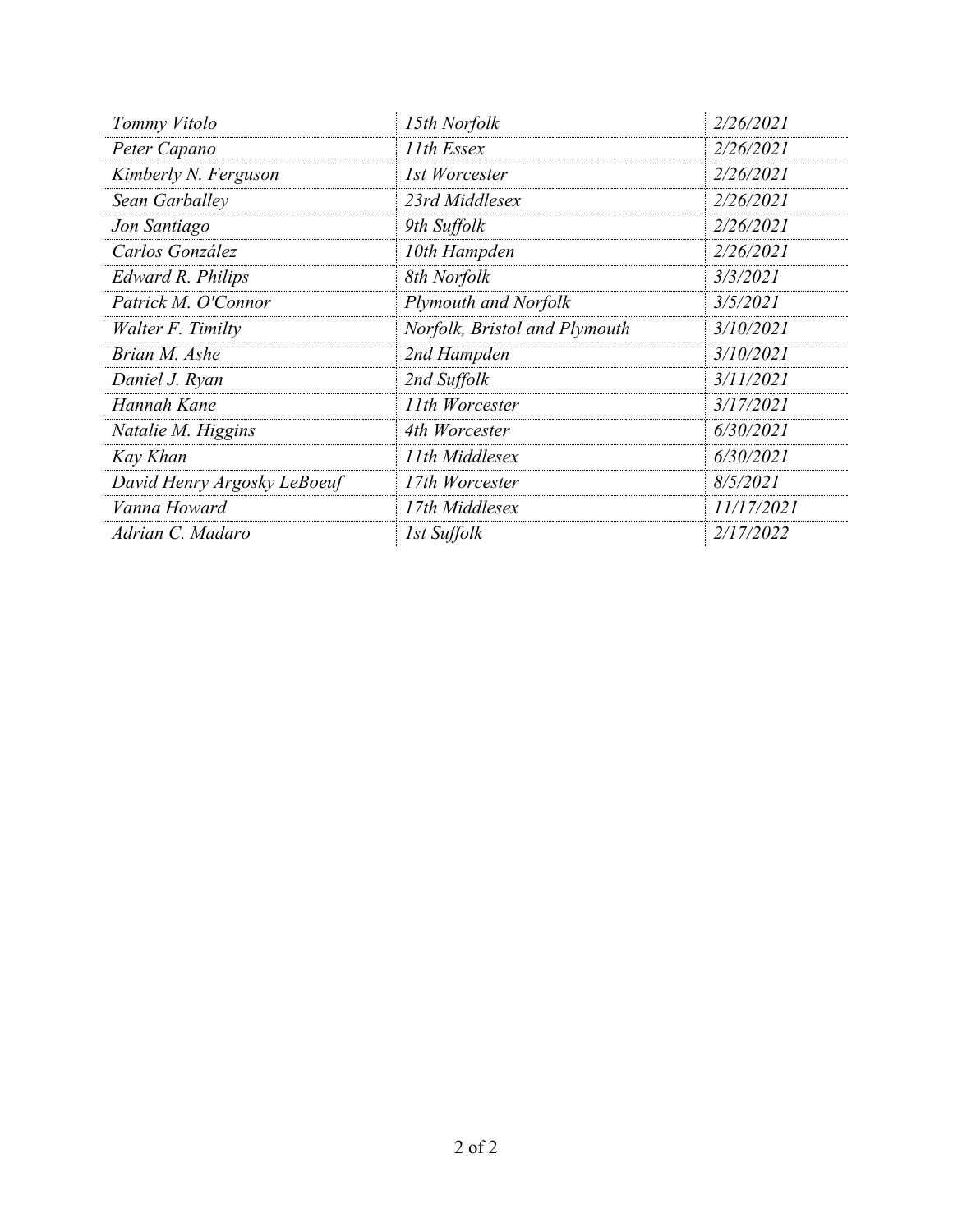| Tommy Vitolo                | 15th Norfolk                  | 2/26/2021  |
|-----------------------------|-------------------------------|------------|
| Peter Capano                | 11th Essex                    | 2/26/2021  |
| Kimberly N. Ferguson        | 1st Worcester                 | 2/26/2021  |
| Sean Garballey              | 23rd Middlesex                | 2/26/2021  |
| Jon Santiago                | 9th Suffolk                   | 2/26/2021  |
| Carlos González             | 10th Hampden                  | 2/26/2021  |
| <b>Edward R. Philips</b>    | 8th Norfolk                   | 3/3/2021   |
| Patrick M. O'Connor         | <b>Plymouth and Norfolk</b>   | 3/5/2021   |
| Walter F. Timilty           | Norfolk, Bristol and Plymouth | 3/10/2021  |
| Brian M. Ashe               | 2nd Hampden                   | 3/10/2021  |
| Daniel J. Ryan              | 2nd Suffolk                   | 3/11/2021  |
| Hannah Kane                 | 11th Worcester                | 3/17/2021  |
| Natalie M. Higgins          | 4th Worcester                 | 6/30/2021  |
| Kay Khan                    | 11th Middlesex                | 6/30/2021  |
| David Henry Argosky LeBoeuf | 17th Worcester                | 8/5/2021   |
| Vanna Howard                | 17th Middlesex                | 11/17/2021 |
| Adrian C. Madaro            | 1st Suffolk                   | 2/17/2022  |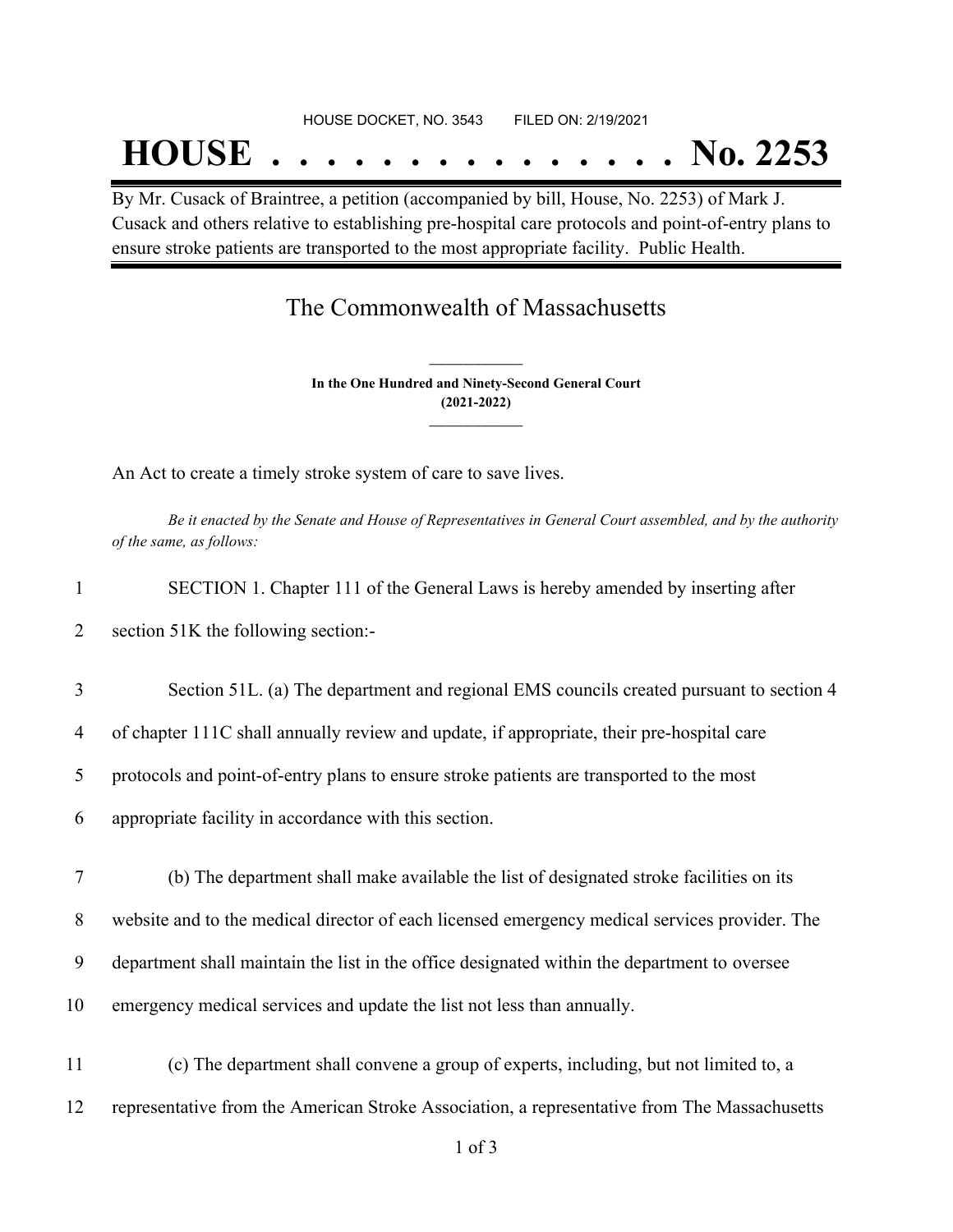## **HOUSE . . . . . . . . . . . . . . . No. 2253**

By Mr. Cusack of Braintree, a petition (accompanied by bill, House, No. 2253) of Mark J. Cusack and others relative to establishing pre-hospital care protocols and point-of-entry plans to ensure stroke patients are transported to the most appropriate facility. Public Health.

## The Commonwealth of Massachusetts

**In the One Hundred and Ninety-Second General Court (2021-2022) \_\_\_\_\_\_\_\_\_\_\_\_\_\_\_**

**\_\_\_\_\_\_\_\_\_\_\_\_\_\_\_**

An Act to create a timely stroke system of care to save lives.

Be it enacted by the Senate and House of Representatives in General Court assembled, and by the authority *of the same, as follows:*

| $\mathbf{1}$   | SECTION 1. Chapter 111 of the General Laws is hereby amended by inserting after               |
|----------------|-----------------------------------------------------------------------------------------------|
| $\overline{2}$ | section 51K the following section:-                                                           |
| 3              | Section 51L. (a) The department and regional EMS councils created pursuant to section 4       |
| $\overline{4}$ | of chapter 111C shall annually review and update, if appropriate, their pre-hospital care     |
| 5              | protocols and point-of-entry plans to ensure stroke patients are transported to the most      |
| 6              | appropriate facility in accordance with this section.                                         |
| $\tau$         | (b) The department shall make available the list of designated stroke facilities on its       |
| 8              | website and to the medical director of each licensed emergency medical services provider. The |
| 9              | department shall maintain the list in the office designated within the department to oversee  |
| 10             | emergency medical services and update the list not less than annually.                        |
| 11             | (c) The department shall convene a group of experts, including, but not limited to, a         |
| 12             | representative from the American Stroke Association, a representative from The Massachusetts  |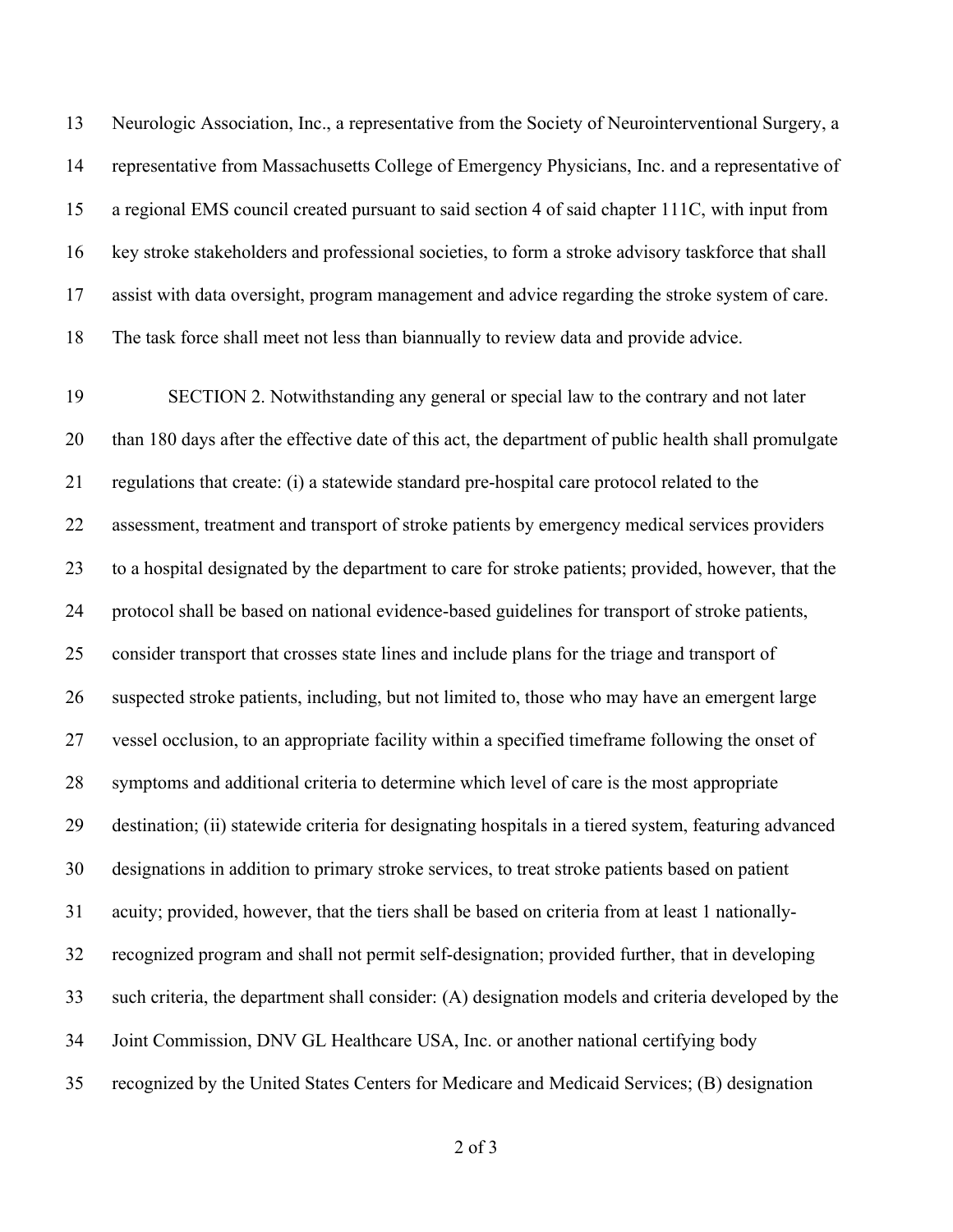Neurologic Association, Inc., a representative from the Society of Neurointerventional Surgery, a representative from Massachusetts College of Emergency Physicians, Inc. and a representative of a regional EMS council created pursuant to said section 4 of said chapter 111C, with input from key stroke stakeholders and professional societies, to form a stroke advisory taskforce that shall assist with data oversight, program management and advice regarding the stroke system of care. The task force shall meet not less than biannually to review data and provide advice.

 SECTION 2. Notwithstanding any general or special law to the contrary and not later than 180 days after the effective date of this act, the department of public health shall promulgate regulations that create: (i) a statewide standard pre-hospital care protocol related to the assessment, treatment and transport of stroke patients by emergency medical services providers to a hospital designated by the department to care for stroke patients; provided, however, that the protocol shall be based on national evidence-based guidelines for transport of stroke patients, consider transport that crosses state lines and include plans for the triage and transport of suspected stroke patients, including, but not limited to, those who may have an emergent large vessel occlusion, to an appropriate facility within a specified timeframe following the onset of symptoms and additional criteria to determine which level of care is the most appropriate destination; (ii) statewide criteria for designating hospitals in a tiered system, featuring advanced designations in addition to primary stroke services, to treat stroke patients based on patient acuity; provided, however, that the tiers shall be based on criteria from at least 1 nationally- recognized program and shall not permit self-designation; provided further, that in developing such criteria, the department shall consider: (A) designation models and criteria developed by the Joint Commission, DNV GL Healthcare USA, Inc. or another national certifying body recognized by the United States Centers for Medicare and Medicaid Services; (B) designation

of 3